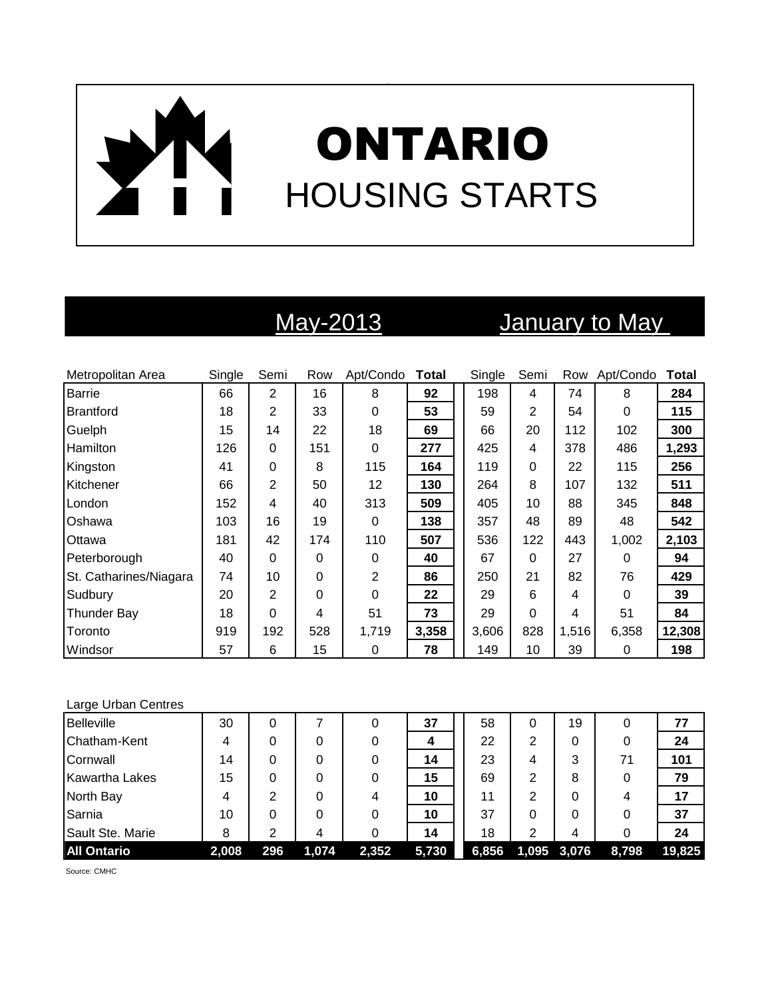# ONTARIO HOUSING STARTS

## May-2013 January to May

| Metropolitan Area      | Single | Semi           | Row      | Apt/Condo        | <b>Total</b> | Single | Semi     | Row   | Apt/Condo | Total  |
|------------------------|--------|----------------|----------|------------------|--------------|--------|----------|-------|-----------|--------|
| <b>Barrie</b>          | 66     | $\overline{2}$ | 16       | 8                | 92           | 198    | 4        | 74    | 8         | 284    |
| Brantford              | 18     | 2              | 33       | $\boldsymbol{0}$ | 53           | 59     | 2        | 54    | 0         | 115    |
| Guelph                 | 15     | 14             | 22       | 18               | 69           | 66     | 20       | 112   | 102       | 300    |
| <b>Hamilton</b>        | 126    | 0              | 151      | 0                | 277          | 425    | 4        | 378   | 486       | 1,293  |
| Kingston               | 41     | 0              | 8        | 115              | 164          | 119    | $\Omega$ | 22    | 115       | 256    |
| Kitchener              | 66     | $\overline{2}$ | 50       | 12               | 130          | 264    | 8        | 107   | 132       | 511    |
| London                 | 152    | 4              | 40       | 313              | 509          | 405    | 10       | 88    | 345       | 848    |
| <b>Oshawa</b>          | 103    | 16             | 19       | 0                | 138          | 357    | 48       | 89    | 48        | 542    |
| Ottawa                 | 181    | 42             | 174      | 110              | 507          | 536    | 122      | 443   | 1,002     | 2,103  |
| Peterborough           | 40     | 0              | 0        | 0                | 40           | 67     | 0        | 27    | 0         | 94     |
| St. Catharines/Niagara | 74     | 10             | 0        | $\overline{2}$   | 86           | 250    | 21       | 82    | 76        | 429    |
| Sudbury                | 20     | $\overline{2}$ | $\Omega$ | $\Omega$         | 22           | 29     | 6        | 4     | 0         | 39     |
| <b>Thunder Bay</b>     | 18     | 0              | 4        | 51               | 73           | 29     | $\Omega$ | 4     | 51        | 84     |
| Toronto                | 919    | 192            | 528      | 1,719            | 3,358        | 3,606  | 828      | 1,516 | 6,358     | 12,308 |
| Windsor                | 57     | 6              | 15       | 0                | 78           | 149    | 10       | 39    | 0         | 198    |

### Large Urban Centres

| <b>Belleville</b>     | 30    | 0   |       | O     | 37    | 58    | 0           | 19 | 0     | 77     |
|-----------------------|-------|-----|-------|-------|-------|-------|-------------|----|-------|--------|
| Chatham-Kent          | 4     |     |       |       | 4     | 22    | 2           | 0  | 0     | 24     |
| Cornwall              | 14    | 0   | 0     |       | 14    | 23    | 4           | 3  | 71    | 101    |
| <b>Kawartha Lakes</b> | 15    | 0   | 0     |       | 15    | 69    | 2           | 8  | 0     | 79     |
| North Bay             | 4     | 2   | 0     | 4     | 10    | 11    | 2           | 0  |       | 17     |
| Sarnia                | 10    |     | 0     |       | 10    | 37    | 0           | 0  | 0     | 37     |
| Sault Ste. Marie      | 8     | ⌒   | 4     |       | 14    | 18    | 2           | 4  | 0     | 24     |
| <b>All Ontario</b>    | 2,008 | 296 | 1,074 | 2,352 | 5,730 | 6,856 | 1,095 3,076 |    | 8,798 | 19,825 |

Source: CMHC